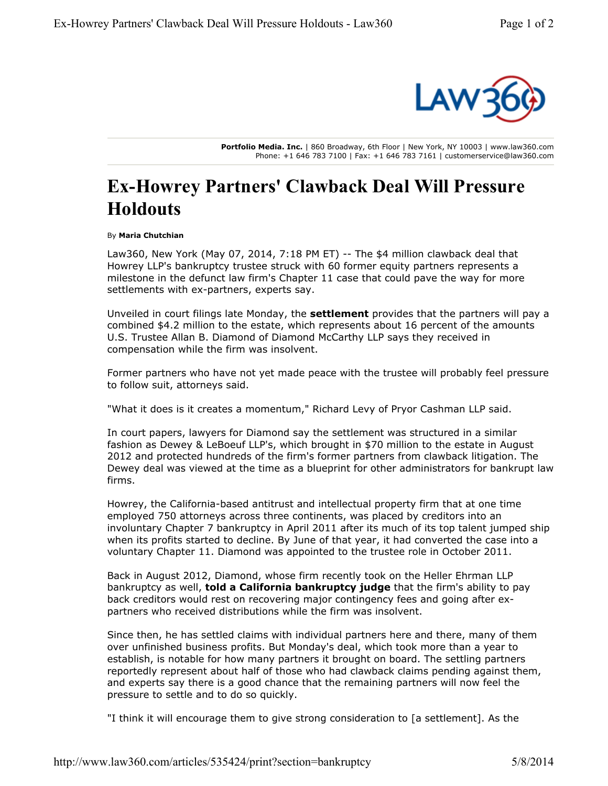

**Portfolio Media. Inc.** | 860 Broadway, 6th Floor | New York, NY 10003 | www.law360.com Phone: +1 646 783 7100 | Fax: +1 646 783 7161 | customerservice@law360.com

## **Ex-Howrey Partners' Clawback Deal Will Pressure Holdouts**

By **Maria Chutchian**

Law360, New York (May 07, 2014, 7:18 PM ET) -- The \$4 million clawback deal that Howrey LLP's bankruptcy trustee struck with 60 former equity partners represents a milestone in the defunct law firm's Chapter 11 case that could pave the way for more settlements with ex-partners, experts say.

Unveiled in court filings late Monday, the **settlement** provides that the partners will pay a combined \$4.2 million to the estate, which represents about 16 percent of the amounts U.S. Trustee Allan B. Diamond of Diamond McCarthy LLP says they received in compensation while the firm was insolvent.

Former partners who have not yet made peace with the trustee will probably feel pressure to follow suit, attorneys said.

"What it does is it creates a momentum," Richard Levy of Pryor Cashman LLP said.

In court papers, lawyers for Diamond say the settlement was structured in a similar fashion as Dewey & LeBoeuf LLP's, which brought in \$70 million to the estate in August 2012 and protected hundreds of the firm's former partners from clawback litigation. The Dewey deal was viewed at the time as a blueprint for other administrators for bankrupt law firms.

Howrey, the California-based antitrust and intellectual property firm that at one time employed 750 attorneys across three continents, was placed by creditors into an involuntary Chapter 7 bankruptcy in April 2011 after its much of its top talent jumped ship when its profits started to decline. By June of that year, it had converted the case into a voluntary Chapter 11. Diamond was appointed to the trustee role in October 2011.

Back in August 2012, Diamond, whose firm recently took on the Heller Ehrman LLP bankruptcy as well, **told a California bankruptcy judge** that the firm's ability to pay back creditors would rest on recovering major contingency fees and going after expartners who received distributions while the firm was insolvent.

Since then, he has settled claims with individual partners here and there, many of them over unfinished business profits. But Monday's deal, which took more than a year to establish, is notable for how many partners it brought on board. The settling partners reportedly represent about half of those who had clawback claims pending against them, and experts say there is a good chance that the remaining partners will now feel the pressure to settle and to do so quickly.

"I think it will encourage them to give strong consideration to [a settlement]. As the